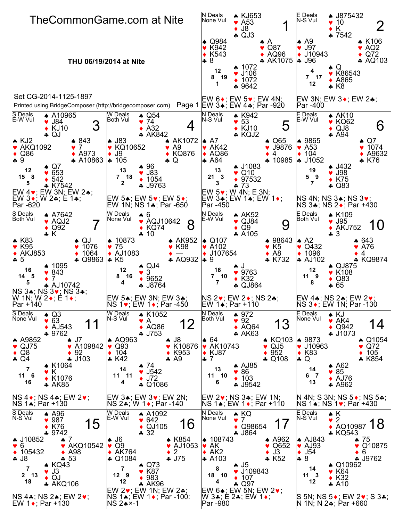